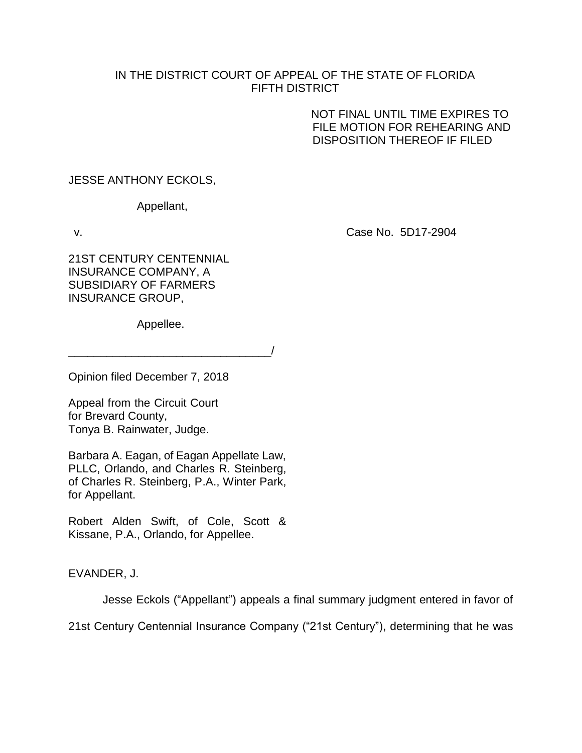## IN THE DISTRICT COURT OF APPEAL OF THE STATE OF FLORIDA FIFTH DISTRICT

NOT FINAL UNTIL TIME EXPIRES TO FILE MOTION FOR REHEARING AND DISPOSITION THEREOF IF FILED

JESSE ANTHONY ECKOLS,

Appellant,

v. Case No. 5D17-2904

21ST CENTURY CENTENNIAL INSURANCE COMPANY, A SUBSIDIARY OF FARMERS INSURANCE GROUP,

Appellee.

 $\overline{\phantom{a}}$ 

Opinion filed December 7, 2018

Appeal from the Circuit Court for Brevard County, Tonya B. Rainwater, Judge.

Barbara A. Eagan, of Eagan Appellate Law, PLLC, Orlando, and Charles R. Steinberg, of Charles R. Steinberg, P.A., Winter Park, for Appellant.

Robert Alden Swift, of Cole, Scott & Kissane, P.A., Orlando, for Appellee.

EVANDER, J.

Jesse Eckols ("Appellant") appeals a final summary judgment entered in favor of

21st Century Centennial Insurance Company ("21st Century"), determining that he was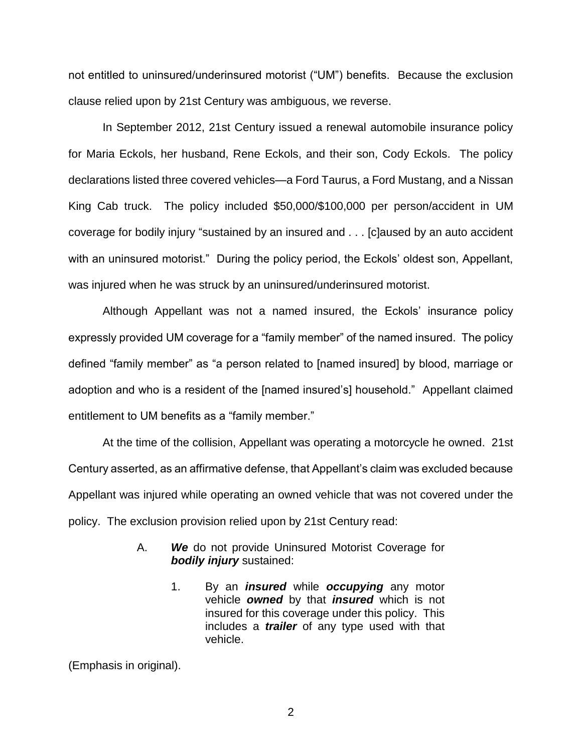not entitled to uninsured/underinsured motorist ("UM") benefits. Because the exclusion clause relied upon by 21st Century was ambiguous, we reverse.

In September 2012, 21st Century issued a renewal automobile insurance policy for Maria Eckols, her husband, Rene Eckols, and their son, Cody Eckols. The policy declarations listed three covered vehicles—a Ford Taurus, a Ford Mustang, and a Nissan King Cab truck. The policy included \$50,000/\$100,000 per person/accident in UM coverage for bodily injury "sustained by an insured and . . . [c]aused by an auto accident with an uninsured motorist." During the policy period, the Eckols' oldest son, Appellant, was injured when he was struck by an uninsured/underinsured motorist.

Although Appellant was not a named insured, the Eckols' insurance policy expressly provided UM coverage for a "family member" of the named insured. The policy defined "family member" as "a person related to [named insured] by blood, marriage or adoption and who is a resident of the [named insured's] household." Appellant claimed entitlement to UM benefits as a "family member."

At the time of the collision, Appellant was operating a motorcycle he owned. 21st Century asserted, as an affirmative defense, that Appellant's claim was excluded because Appellant was injured while operating an owned vehicle that was not covered under the policy. The exclusion provision relied upon by 21st Century read:

- A. *We* do not provide Uninsured Motorist Coverage for *bodily injury* sustained:
	- 1. By an *insured* while *occupying* any motor vehicle *owned* by that *insured* which is not insured for this coverage under this policy. This includes a *trailer* of any type used with that vehicle.

(Emphasis in original).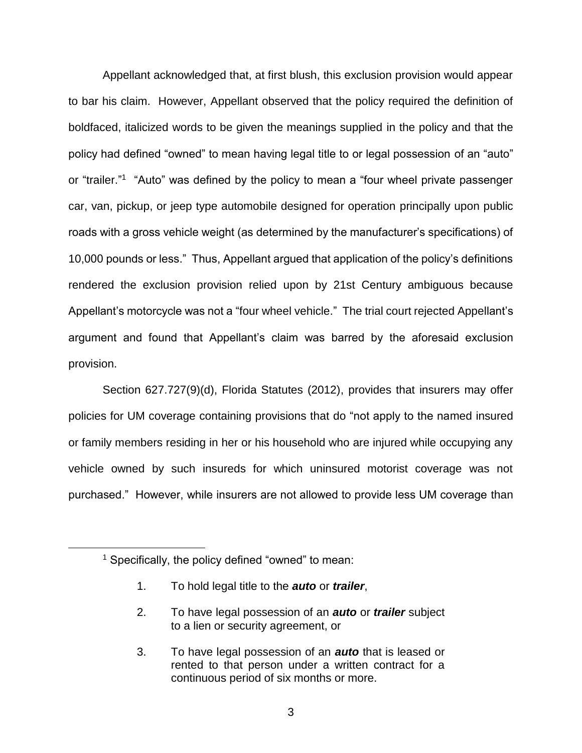Appellant acknowledged that, at first blush, this exclusion provision would appear to bar his claim. However, Appellant observed that the policy required the definition of boldfaced, italicized words to be given the meanings supplied in the policy and that the policy had defined "owned" to mean having legal title to or legal possession of an "auto" or "trailer."<sup>1</sup> "Auto" was defined by the policy to mean a "four wheel private passenger car, van, pickup, or jeep type automobile designed for operation principally upon public roads with a gross vehicle weight (as determined by the manufacturer's specifications) of 10,000 pounds or less." Thus, Appellant argued that application of the policy's definitions rendered the exclusion provision relied upon by 21st Century ambiguous because Appellant's motorcycle was not a "four wheel vehicle." The trial court rejected Appellant's argument and found that Appellant's claim was barred by the aforesaid exclusion provision.

Section 627.727(9)(d), Florida Statutes (2012), provides that insurers may offer policies for UM coverage containing provisions that do "not apply to the named insured or family members residing in her or his household who are injured while occupying any vehicle owned by such insureds for which uninsured motorist coverage was not purchased." However, while insurers are not allowed to provide less UM coverage than

 $\overline{a}$ 

- 1. To hold legal title to the *auto* or *trailer*,
- 2. To have legal possession of an *auto* or *trailer* subject to a lien or security agreement, or
- 3. To have legal possession of an *auto* that is leased or rented to that person under a written contract for a continuous period of six months or more.

<sup>&</sup>lt;sup>1</sup> Specifically, the policy defined "owned" to mean: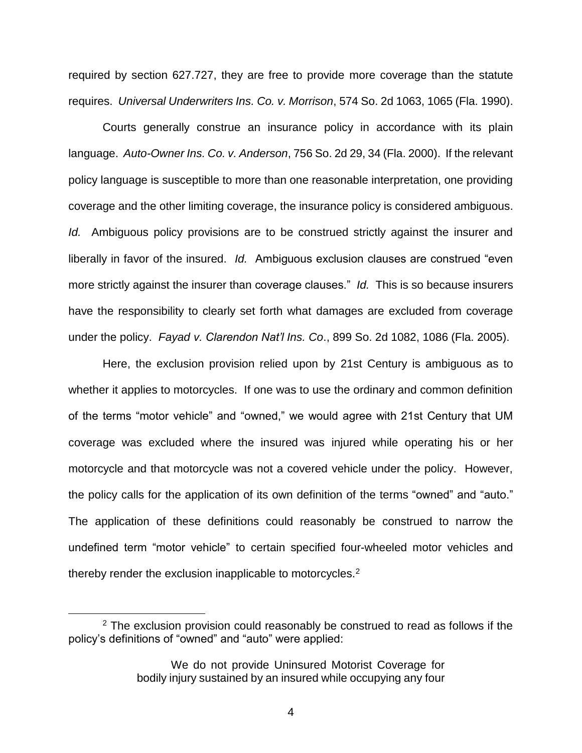required by section 627.727, they are free to provide more coverage than the statute requires. *Universal Underwriters Ins. Co. v. Morrison*, 574 So. 2d 1063, 1065 (Fla. 1990).

Courts generally construe an insurance policy in accordance with its plain language. *Auto-Owner Ins. Co. v. Anderson*, 756 So. 2d 29, 34 (Fla. 2000). If the relevant policy language is susceptible to more than one reasonable interpretation, one providing coverage and the other limiting coverage, the insurance policy is considered ambiguous. *Id.* Ambiguous policy provisions are to be construed strictly against the insurer and liberally in favor of the insured. *Id.* Ambiguous exclusion clauses are construed "even more strictly against the insurer than coverage clauses." *Id.* This is so because insurers have the responsibility to clearly set forth what damages are excluded from coverage under the policy. *Fayad v. Clarendon Nat'l Ins. Co*., 899 So. 2d 1082, 1086 (Fla. 2005).

Here, the exclusion provision relied upon by 21st Century is ambiguous as to whether it applies to motorcycles. If one was to use the ordinary and common definition of the terms "motor vehicle" and "owned," we would agree with 21st Century that UM coverage was excluded where the insured was injured while operating his or her motorcycle and that motorcycle was not a covered vehicle under the policy. However, the policy calls for the application of its own definition of the terms "owned" and "auto." The application of these definitions could reasonably be construed to narrow the undefined term "motor vehicle" to certain specified four-wheeled motor vehicles and thereby render the exclusion inapplicable to motorcycles.<sup>2</sup>

 $\overline{a}$ 

 $2$  The exclusion provision could reasonably be construed to read as follows if the policy's definitions of "owned" and "auto" were applied:

We do not provide Uninsured Motorist Coverage for bodily injury sustained by an insured while occupying any four